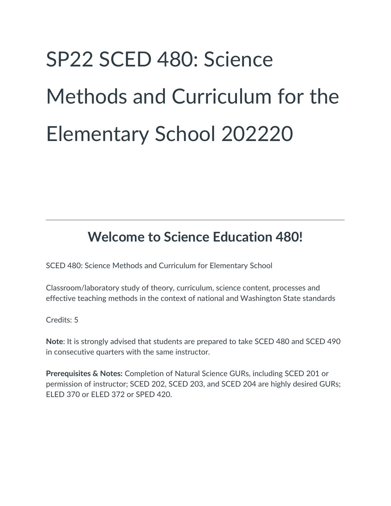# SP22 SCED 480: Science Methods and Curriculum for the Elementary School 202220

## **Welcome to Science Education 480!**

SCED 480: Science Methods and Curriculum for Elementary School

Classroom/laboratory study of theory, curriculum, science content, processes and effective teaching methods in the context of national and Washington State standards

Credits: 5

**Note**: It is strongly advised that students are prepared to take SCED 480 and SCED 490 in consecutive quarters with the same instructor.

**Prerequisites & Notes:** Completion of Natural Science GURs, including SCED 201 or permission of instructor; SCED 202, SCED 203, and SCED 204 are highly desired GURs; ELED 370 or ELED 372 or SPED 420.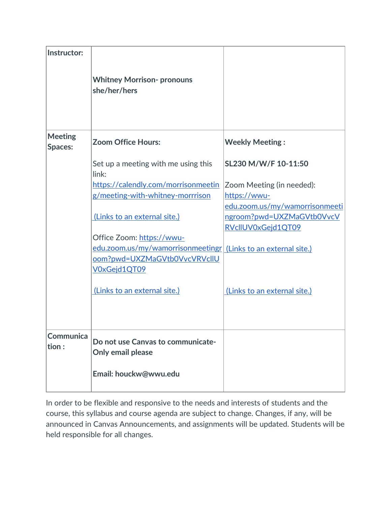| Instructor:               | <b>Whitney Morrison- pronouns</b><br>she/her/hers                                                                                                                           |                                                                                                                                  |
|---------------------------|-----------------------------------------------------------------------------------------------------------------------------------------------------------------------------|----------------------------------------------------------------------------------------------------------------------------------|
| <b>Meeting</b><br>Spaces: | <b>Zoom Office Hours:</b>                                                                                                                                                   | <b>Weekly Meeting:</b>                                                                                                           |
|                           | Set up a meeting with me using this<br>link:<br>https://calendly.com/morrisonmeetin<br>g/meeting-with-whitney-morrrison<br>(Links to an external site.)                     | SL230 M/W/F 10-11:50<br>Zoom Meeting (in needed):<br>https://wwu-<br>edu.zoom.us/my/wamorrisonmeeti<br>ngroom?pwd=UXZMaGVtb0VvcV |
|                           | Office Zoom: https://wwu-<br>edu.zoom.us/my/wamorrisonmeetingr (Links to an external site.)<br>oom?pwd=UXZMaGVtb0VvcVRVcllU<br>V0xGejd1QT09<br>(Links to an external site.) | RVcIIUV0xGejd1QT09<br>(Links to an external site.)                                                                               |
| <b>Communica</b><br>tion: | Do not use Canvas to communicate-<br>Only email please<br>Email: houckw@wwu.edu                                                                                             |                                                                                                                                  |

In order to be flexible and responsive to the needs and interests of students and the course, this syllabus and course agenda are subject to change. Changes, if any, will be announced in Canvas Announcements, and assignments will be updated. Students will be held responsible for all changes.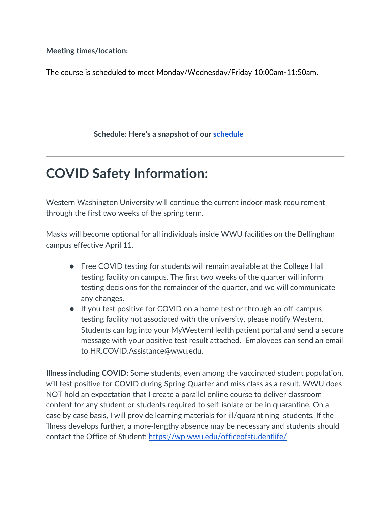**Meeting times/location:** 

The course is scheduled to meet Monday/Wednesday/Friday 10:00am-11:50am.

**Schedule: Here's a snapshot of our [schedule](https://docs.google.com/document/d/1jN3He_yardNGdPRy_2ww3DI_00RavutqE1coMPTum9Y/edit)**

## **COVID Safety Information:**

Western Washington University will continue the current indoor mask requirement through the first two weeks of the spring term.

Masks will become optional for all individuals inside WWU facilities on the Bellingham campus effective April 11.

- Free COVID testing for students will remain available at the College Hall testing facility on campus. The first two weeks of the quarter will inform testing decisions for the remainder of the quarter, and we will communicate any changes.
- If you test positive for COVID on a home test or through an off-campus testing facility not associated with the university, please notify Western. Students can log into your MyWesternHealth patient portal and send a secure message with your positive test result attached. Employees can send an email to HR.COVID.Assistance@wwu.edu.

**Illness including COVID:** Some students, even among the vaccinated student population, will test positive for COVID during Spring Quarter and miss class as a result. WWU does NOT hold an expectation that I create a parallel online course to deliver classroom content for any student or students required to self-isolate or be in quarantine. On a case by case basis, I will provide learning materials for ill/quarantining students. If the illness develops further, a more-lengthy absence may be necessary and students should contact the Office of Student:<https://wp.wwu.edu/officeofstudentlife/>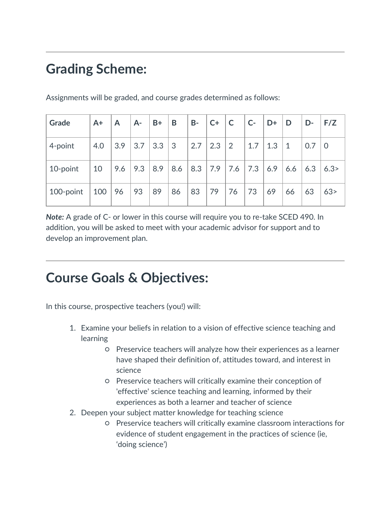# **Grading Scheme:**

| Grade     | $A+$ | $\mathsf{A}$ | $A-$ | $B+$ | B            | $B -$ | $C+$ | $\overline{\mathsf{C}}$ | $ C -$ | $\mathsf{D}$ | D            | $ D -$            | F/Z  |
|-----------|------|--------------|------|------|--------------|-------|------|-------------------------|--------|--------------|--------------|-------------------|------|
| 4-point   | 4.0  | 3.9          | 3.7  | 3.3  | $\mathbf{3}$ | 2.7   | 2.3  | 2                       | 1.7    | 1.3          | $\mathbf{1}$ | $\vert 0.7 \vert$ | O    |
| 10-point  | 10   | 9.6          | 9.3  | 8.9  | 8.6          | 8.3   |      | $7.9$ 7.6               | 7.3    | 6.9          | 6.6          | 6.3               | 6.3> |
| 100-point | 100  | 96           | 93   | 89   | 86           | 83    | 79   | 76                      | 73     | 69           | 66           | 63                | 63>  |

Assignments will be graded, and course grades determined as follows:

*Note:* A grade of C- or lower in this course will require you to re-take SCED 490. In addition, you will be asked to meet with your academic advisor for support and to develop an improvement plan.

## **Course Goals & Objectives:**

In this course, prospective teachers (you!) will:

- 1. Examine your beliefs in relation to a vision of effective science teaching and learning
	- Preservice teachers will analyze how their experiences as a learner have shaped their definition of, attitudes toward, and interest in science
	- Preservice teachers will critically examine their conception of 'effective' science teaching and learning, informed by their experiences as both a learner and teacher of science
- 2. Deepen your subject matter knowledge for teaching science
	- Preservice teachers will critically examine classroom interactions for evidence of student engagement in the practices of science (ie, 'doing science')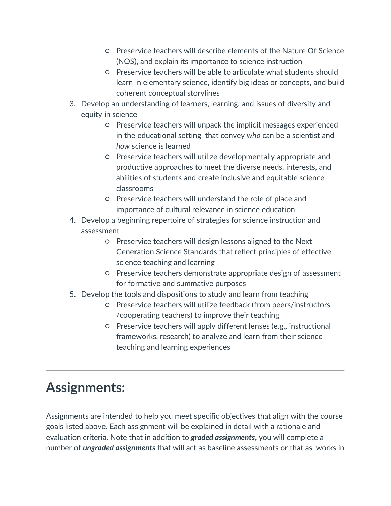- Preservice teachers will describe elements of the Nature Of Science (NOS), and explain its importance to science instruction
- Preservice teachers will be able to articulate what students should learn in elementary science, identify big ideas or concepts, and build coherent conceptual storylines
- 3. Develop an understanding of learners, learning, and issues of diversity and equity in science
	- Preservice teachers will unpack the implicit messages experienced in the educational setting that convey *who* can be a scientist and *how* science is learned
	- Preservice teachers will utilize developmentally appropriate and productive approaches to meet the diverse needs, interests, and abilities of students and create inclusive and equitable science classrooms
	- Preservice teachers will understand the role of place and importance of cultural relevance in science education
- 4. Develop a beginning repertoire of strategies for science instruction and assessment
	- Preservice teachers will design lessons aligned to the Next Generation Science Standards that reflect principles of effective science teaching and learning
	- Preservice teachers demonstrate appropriate design of assessment for formative and summative purposes
- 5. Develop the tools and dispositions to study and learn from teaching
	- Preservice teachers will utilize feedback (from peers/instructors /cooperating teachers) to improve their teaching
	- Preservice teachers will apply different lenses (e.g., instructional frameworks, research) to analyze and learn from their science teaching and learning experiences

# **Assignments:**

Assignments are intended to help you meet specific objectives that align with the course goals listed above. Each assignment will be explained in detail with a rationale and evaluation criteria. Note that in addition to *graded assignments*, you will complete a number of *ungraded assignments* that will act as baseline assessments or that as 'works in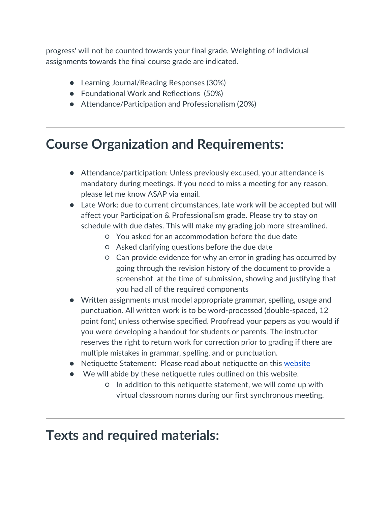progress' will not be counted towards your final grade. Weighting of individual assignments towards the final course grade are indicated.

- Learning Journal/Reading Responses (30%)
- Foundational Work and Reflections (50%)
- Attendance/Participation and Professionalism (20%)

## **Course Organization and Requirements:**

- Attendance/participation: Unless previously excused, your attendance is mandatory during meetings. If you need to miss a meeting for any reason, please let me know ASAP via email.
- Late Work: due to current circumstances, late work will be accepted but will affect your Participation & Professionalism grade. Please try to stay on schedule with due dates. This will make my grading job more streamlined.
	- You asked for an accommodation before the due date
	- Asked clarifying questions before the due date
	- Can provide evidence for why an error in grading has occurred by going through the revision history of the document to provide a screenshot at the time of submission, showing and justifying that you had all of the required components
- Written assignments must model appropriate grammar, spelling, usage and punctuation. All written work is to be word-processed (double-spaced, 12 point font) unless otherwise specified. Proofread your papers as you would if you were developing a handout for students or parents. The instructor reserves the right to return work for correction prior to grading if there are multiple mistakes in grammar, spelling, and or punctuation.
- Netiquette Statement: Please read about netiquette on this [website](http://www.albion.com/netiquette/corerules.html)
- We will abide by these netiquette rules outlined on this website.
	- In addition to this netiquette statement, we will come up with virtual classroom norms during our first synchronous meeting.

## **Texts and required materials:**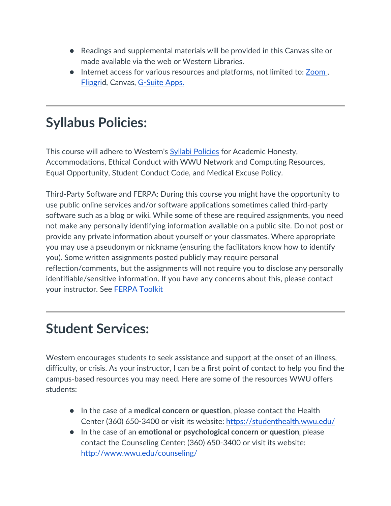- Readings and supplemental materials will be provided in this Canvas site or made available via the web or Western Libraries.
- Internet access for various resources and platforms, not limited to: Zoom, [Flipgrid](https://info.flipgrid.com/), Canvas, [G-Suite Apps.](https://gsuite.google.com/?utm_source=google&utm_medium=cpc&utm_campaign=na-US-all-en-dr-bkws-all-all-trial-e-dr-1008072&utm_content=text-ad-none-any-DEV_c-CRE_331696211006-ADGP_Hybrid%20%7C%20AW%20SEM%20%7C%20BKWS%20%7E%20EXA%20%2F%2F%20GSuite%20%5B1:1%5D%20GSuite-KWID_43700015362134797-kwd-74870110717&utm_term=KW_gsuite-ST_gsuite&gclid=Cj0KCQjwyPbzBRDsARIsAFh15JZcNFuzHyeD6SpoVAhnqO6Vlsc1S_A-F4EInRbcDInGFv6f5Hh9YkUaAt8xEALw_wcB&gclsrc=aw.ds)

# **Syllabus Policies:**

This course will adhere to Western's [Syllabi Policies](https://syllabi.wwu.edu/) for Academic Honesty, Accommodations, Ethical Conduct with WWU Network and Computing Resources, Equal Opportunity, Student Conduct Code, and Medical Excuse Policy.

Third-Party Software and FERPA: During this course you might have the opportunity to use public online services and/or software applications sometimes called third-party software such as a blog or wiki. While some of these are required assignments, you need not make any personally identifying information available on a public site. Do not post or provide any private information about yourself or your classmates. Where appropriate you may use a pseudonym or nickname (ensuring the facilitators know how to identify you). Some written assignments posted publicly may require personal reflection/comments, but the assignments will not require you to disclose any personally identifiable/sensitive information. If you have any concerns about this, please contact your instructor. See [FERPA Toolkit](https://www.wwu.edu/teachinghandbook/resources_support/ferpa_toolkit.shtml)

## **Student Services:**

Western encourages students to seek assistance and support at the onset of an illness, difficulty, or crisis. As your instructor, I can be a first point of contact to help you find the campus-based resources you may need. Here are some of the resources WWU offers students:

- In the case of a **medical concern or question**, please contact the Health Center (360) 650-3400 or visit its website:<https://studenthealth.wwu.edu/>
- In the case of an **emotional or psychological concern or question**, please contact the Counseling Center: (360) 650-3400 or visit its website: <http://www.wwu.edu/counseling/>